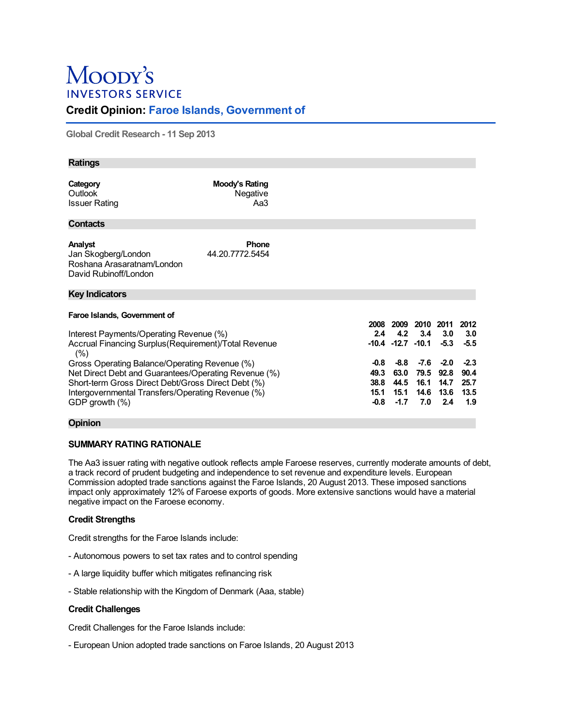# Moopy's **INVESTORS SERVICE**

## **Credit Opinion: Faroe Islands, Government of**

**Global Credit Research - 11 Sep 2013**

| <b>Ratings</b>                                                                                                                                                                                                                         |                                   |             |                                          |                                     |                                       |                                       |
|----------------------------------------------------------------------------------------------------------------------------------------------------------------------------------------------------------------------------------------|-----------------------------------|-------------|------------------------------------------|-------------------------------------|---------------------------------------|---------------------------------------|
| Category<br>Outlook<br><b>Issuer Rating</b>                                                                                                                                                                                            | Moody's Rating<br>Negative<br>Aa3 |             |                                          |                                     |                                       |                                       |
| <b>Contacts</b>                                                                                                                                                                                                                        |                                   |             |                                          |                                     |                                       |                                       |
| Analyst<br>Jan Skogberg/London<br>Roshana Arasaratnam/London<br>David Rubinoff/London                                                                                                                                                  | <b>Phone</b><br>44.20.7772.5454   |             |                                          |                                     |                                       |                                       |
| <b>Key Indicators</b>                                                                                                                                                                                                                  |                                   |             |                                          |                                     |                                       |                                       |
| Faroe Islands, Government of<br>Interest Payments/Operating Revenue (%)<br>Accrual Financing Surplus (Requirement) Total Revenue<br>(%)                                                                                                |                                   | 2008<br>2.4 | 2009<br>4.2<br>$-10.4$ $-12.7$ $-10.1$   | 2010 2011<br>3.4                    | 3.0<br>$-5.3$                         | 2012<br>3.0<br>$-5.5$                 |
| Gross Operating Balance/Operating Revenue (%)<br>Net Direct Debt and Guarantees/Operating Revenue (%)<br>Short-term Gross Direct Debt/Gross Direct Debt (%)<br>Intergovernmental Transfers/Operating Revenue (%)<br>GDP growth $(\% )$ |                                   |             | $-8.8$<br>63.0<br>44.5<br>15.1<br>$-1.7$ | -7.6<br>79.5<br>16.1<br>14.6<br>7.0 | $-2.0$<br>92.8<br>14.7<br>13.6<br>2.4 | $-2.3$<br>90.4<br>25.7<br>13.5<br>1.9 |

## **Opinion**

## **SUMMARY RATING RATIONALE**

The Aa3 issuer rating with negative outlook reflects ample Faroese reserves, currently moderate amounts of debt, a track record of prudent budgeting and independence to set revenue and expenditure levels. European Commission adopted trade sanctions against the Faroe Islands, 20 August 2013. These imposed sanctions impact only approximately 12% of Faroese exports of goods. More extensive sanctions would have a material negative impact on the Faroese economy.

## **Credit Strengths**

Credit strengths for the Faroe Islands include:

- Autonomous powers to set tax rates and to control spending
- A large liquidity buffer which mitigates refinancing risk
- Stable relationship with the Kingdom of Denmark (Aaa, stable)

## **Credit Challenges**

Credit Challenges for the Faroe Islands include:

- European Union adopted trade sanctions on Faroe Islands, 20 August 2013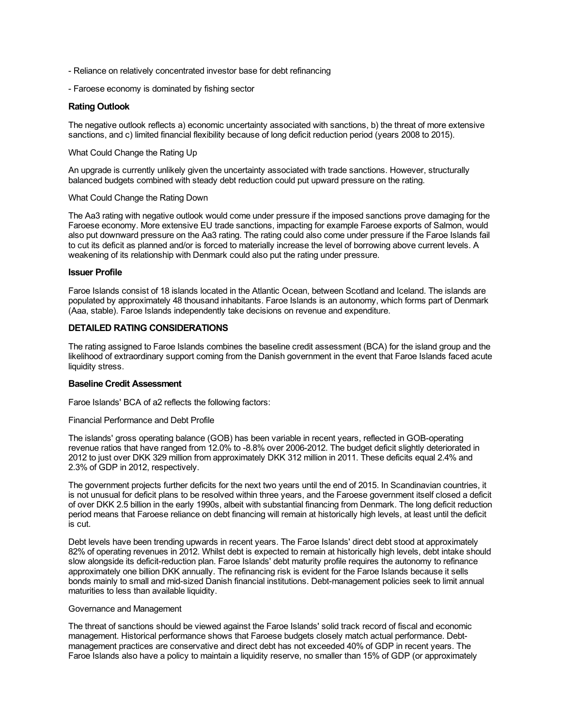- Reliance on relatively concentrated investor base for debt refinancing
- Faroese economy is dominated by fishing sector

#### **Rating Outlook**

The negative outlook reflects a) economic uncertainty associated with sanctions, b) the threat of more extensive sanctions, and c) limited financial flexibility because of long deficit reduction period (years 2008 to 2015).

#### What Could Change the Rating Up

An upgrade is currently unlikely given the uncertainty associated with trade sanctions. However, structurally balanced budgets combined with steady debt reduction could put upward pressure on the rating.

#### What Could Change the Rating Down

The Aa3 rating with negative outlook would come under pressure if the imposed sanctions prove damaging for the Faroese economy. More extensive EU trade sanctions, impacting for example Faroese exports of Salmon, would also put downward pressure on the Aa3 rating. The rating could also come under pressure if the Faroe Islands fail to cut its deficit as planned and/or is forced to materially increase the level of borrowing above current levels. A weakening of its relationship with Denmark could also put the rating under pressure.

#### **Issuer Profile**

Faroe Islands consist of 18 islands located in the Atlantic Ocean, between Scotland and Iceland. The islands are populated by approximately 48 thousand inhabitants. Faroe Islands is an autonomy, which forms part of Denmark (Aaa, stable). Faroe Islands independently take decisions on revenue and expenditure.

## **DETAILED RATING CONSIDERATIONS**

The rating assigned to Faroe Islands combines the baseline credit assessment (BCA) for the island group and the likelihood of extraordinary support coming from the Danish government in the event that Faroe Islands faced acute liquidity stress.

## **Baseline Credit Assessment**

Faroe Islands' BCA of a2 reflects the following factors:

Financial Performance and Debt Profile

The islands' gross operating balance (GOB) has been variable in recent years, reflected in GOB-operating revenue ratios that have ranged from 12.0% to -8.8% over 2006-2012. The budget deficit slightly deteriorated in 2012 to just over DKK 329 million from approximately DKK 312 million in 2011. These deficits equal 2.4% and 2.3% of GDP in 2012, respectively.

The government projects further deficits for the next two years until the end of 2015. In Scandinavian countries, it is not unusual for deficit plans to be resolved within three years, and the Faroese government itself closed a deficit of over DKK 2.5 billion in the early 1990s, albeit with substantial financing from Denmark. The long deficit reduction period means that Faroese reliance on debt financing will remain at historically high levels, at least until the deficit is cut.

Debt levels have been trending upwards in recent years. The Faroe Islands' direct debt stood at approximately 82% of operating revenues in 2012. Whilst debt is expected to remain at historically high levels, debt intake should slow alongside its deficit-reduction plan. Faroe Islands' debt maturity profile requires the autonomy to refinance approximately one billion DKK annually. The refinancing risk is evident for the Faroe Islands because it sells bonds mainly to small and mid-sized Danish financial institutions. Debt-management policies seek to limit annual maturities to less than available liquidity.

#### Governance and Management

The threat of sanctions should be viewed against the Faroe Islands' solid track record of fiscal and economic management. Historical performance shows that Faroese budgets closely match actual performance. Debtmanagement practices are conservative and direct debt has not exceeded 40% of GDP in recent years. The Faroe Islands also have a policy to maintain a liquidity reserve, no smaller than 15% of GDP (or approximately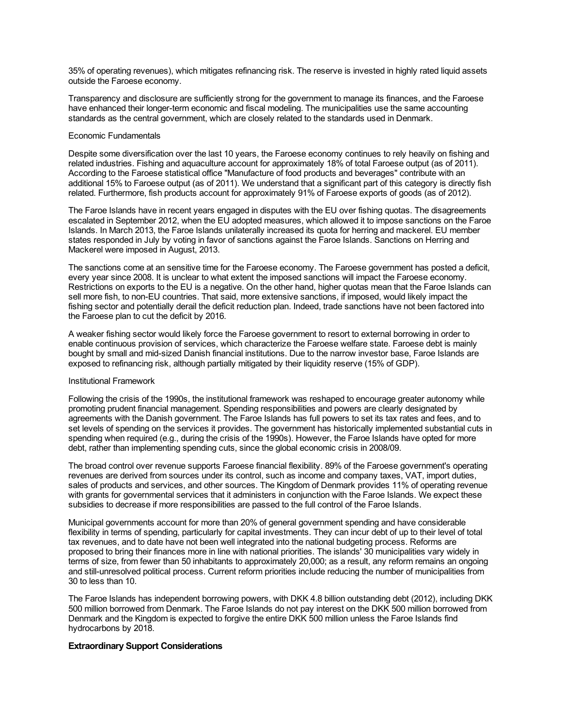35% of operating revenues), which mitigates refinancing risk. The reserve is invested in highly rated liquid assets outside the Faroese economy.

Transparency and disclosure are sufficiently strong for the government to manage its finances, and the Faroese have enhanced their longer-term economic and fiscal modeling. The municipalities use the same accounting standards as the central government, which are closely related to the standards used in Denmark.

#### Economic Fundamentals

Despite some diversification over the last 10 years, the Faroese economy continues to rely heavily on fishing and related industries. Fishing and aquaculture account for approximately 18% of total Faroese output (as of 2011). According to the Faroese statistical office "Manufacture of food products and beverages" contribute with an additional 15% to Faroese output (as of 2011). We understand that a significant part of this category is directly fish related. Furthermore, fish products account for approximately 91% of Faroese exports of goods (as of 2012).

The Faroe Islands have in recent years engaged in disputes with the EU over fishing quotas. The disagreements escalated in September 2012, when the EU adopted measures, which allowed it to impose sanctions on the Faroe Islands. In March 2013, the Faroe Islands unilaterally increased its quota for herring and mackerel. EU member states responded in July by voting in favor of sanctions against the Faroe Islands. Sanctions on Herring and Mackerel were imposed in August, 2013.

The sanctions come at an sensitive time for the Faroese economy. The Faroese government has posted a deficit, every year since 2008. It is unclear to what extent the imposed sanctions will impact the Faroese economy. Restrictions on exports to the EU is a negative. On the other hand, higher quotas mean that the Faroe Islands can sell more fish, to non-EU countries. That said, more extensive sanctions, if imposed, would likely impact the fishing sector and potentially derail the deficit reduction plan. Indeed, trade sanctions have not been factored into the Faroese plan to cut the deficit by 2016.

A weaker fishing sector would likely force the Faroese government to resort to external borrowing in order to enable continuous provision of services, which characterize the Faroese welfare state. Faroese debt is mainly bought by small and mid-sized Danish financial institutions. Due to the narrow investor base, Faroe Islands are exposed to refinancing risk, although partially mitigated by their liquidity reserve (15% of GDP).

#### Institutional Framework

Following the crisis of the 1990s, the institutional framework was reshaped to encourage greater autonomy while promoting prudent financial management. Spending responsibilities and powers are clearly designated by agreements with the Danish government. The Faroe Islands has full powers to set its tax rates and fees, and to set levels of spending on the services it provides. The government has historically implemented substantial cuts in spending when required (e.g., during the crisis of the 1990s). However, the Faroe Islands have opted for more debt, rather than implementing spending cuts, since the global economic crisis in 2008/09.

The broad control over revenue supports Faroese financial flexibility. 89% of the Faroese government's operating revenues are derived from sources under its control, such as income and company taxes, VAT, import duties, sales of products and services, and other sources. The Kingdom of Denmark provides 11% of operating revenue with grants for governmental services that it administers in conjunction with the Faroe Islands. We expect these subsidies to decrease if more responsibilities are passed to the full control of the Faroe Islands.

Municipal governments account for more than 20% of general government spending and have considerable flexibility in terms of spending, particularly for capital investments. They can incur debt of up to their level of total tax revenues, and to date have not been well integrated into the national budgeting process. Reforms are proposed to bring their finances more in line with national priorities. The islands' 30 municipalities vary widely in terms of size, from fewer than 50 inhabitants to approximately 20,000; as a result, any reform remains an ongoing and still-unresolved political process. Current reform priorities include reducing the number of municipalities from 30 to less than 10.

The Faroe Islands has independent borrowing powers, with DKK 4.8 billion outstanding debt (2012), including DKK 500 million borrowed from Denmark. The Faroe Islands do not pay interest on the DKK 500 million borrowed from Denmark and the Kingdom is expected to forgive the entire DKK 500 million unless the Faroe Islands find hydrocarbons by 2018.

## **Extraordinary Support Considerations**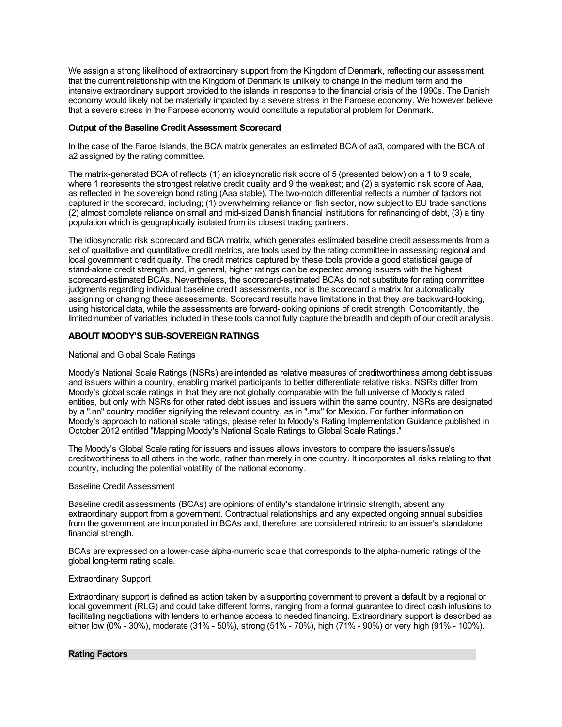We assign a strong likelihood of extraordinary support from the Kingdom of Denmark, reflecting our assessment that the current relationship with the Kingdom of Denmark is unlikely to change in the medium term and the intensive extraordinary support provided to the islands in response to the financial crisis of the 1990s. The Danish economy would likely not be materially impacted by a severe stress in the Faroese economy. We however believe that a severe stress in the Faroese economy would constitute a reputational problem for Denmark.

## **Output of the Baseline Credit Assessment Scorecard**

In the case of the Faroe Islands, the BCA matrix generates an estimated BCA of aa3, compared with the BCA of a2 assigned by the rating committee.

The matrix-generated BCA of reflects (1) an idiosyncratic risk score of 5 (presented below) on a 1 to 9 scale, where 1 represents the strongest relative credit quality and 9 the weakest; and (2) a systemic risk score of Aaa, as reflected in the sovereign bond rating (Aaa stable). The two-notch differential reflects a number of factors not captured in the scorecard, including; (1) overwhelming reliance on fish sector, now subject to EU trade sanctions (2) almost complete reliance on small and mid-sized Danish financial institutions for refinancing of debt, (3) a tiny population which is geographically isolated from its closest trading partners.

The idiosyncratic risk scorecard and BCA matrix, which generates estimated baseline credit assessments from a set of qualitative and quantitative credit metrics, are tools used by the rating committee in assessing regional and local government credit quality. The credit metrics captured by these tools provide a good statistical gauge of stand-alone credit strength and, in general, higher ratings can be expected among issuers with the highest scorecard-estimated BCAs. Nevertheless, the scorecard-estimated BCAs do not substitute for rating committee judgments regarding individual baseline credit assessments, nor is the scorecard a matrix for automatically assigning or changing these assessments. Scorecard results have limitations in that they are backward-looking, using historical data, while the assessments are forward-looking opinions of credit strength. Concomitantly, the limited number of variables included in these tools cannot fully capture the breadth and depth of our credit analysis.

## **ABOUT MOODY'S SUB-SOVEREIGN RATINGS**

#### National and Global Scale Ratings

Moody's National Scale Ratings (NSRs) are intended as relative measures of creditworthiness among debt issues and issuers within a country, enabling market participants to better differentiate relative risks. NSRs differ from Moody's global scale ratings in that they are not globally comparable with the full universe of Moody's rated entities, but only with NSRs for other rated debt issues and issuers within the same country. NSRs are designated by a ".nn" country modifier signifying the relevant country, as in ".mx" for Mexico. For further information on Moody's approach to national scale ratings, please refer to Moody's Rating Implementation Guidance published in October 2012 entitled "Mapping Moody's National Scale Ratings to Global Scale Ratings."

The Moody's Global Scale rating for issuers and issues allows investors to compare the issuer's/issue's creditworthiness to all others in the world, rather than merely in one country. It incorporates all risks relating to that country, including the potential volatility of the national economy.

#### Baseline Credit Assessment

Baseline credit assessments (BCAs) are opinions of entity's standalone intrinsic strength, absent any extraordinary support from a government. Contractual relationships and any expected ongoing annual subsidies from the government are incorporated in BCAs and, therefore, are considered intrinsic to an issuer's standalone financial strength.

BCAs are expressed on a lower-case alpha-numeric scale that corresponds to the alpha-numeric ratings of the global long-term rating scale.

#### Extraordinary Support

Extraordinary support is defined as action taken by a supporting government to prevent a default by a regional or local government (RLG) and could take different forms, ranging from a formal guarantee to direct cash infusions to facilitating negotiations with lenders to enhance access to needed financing. Extraordinary support is described as either low (0% - 30%), moderate (31% - 50%), strong (51% - 70%), high (71% - 90%) or very high (91% - 100%).

#### **Rating Factors**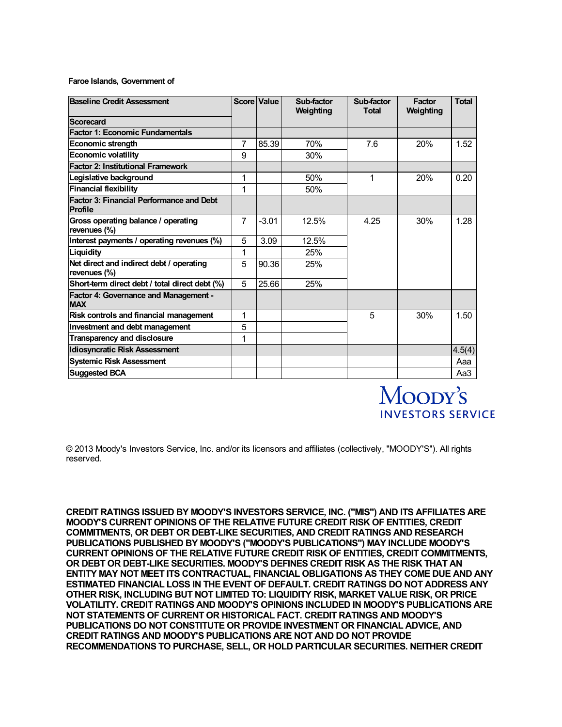#### **Faroe Islands, Government of**

| <b>Baseline Credit Assessment</b>                                 |                | Score Value | Sub-factor<br>Weighting | Sub-factor<br>Total | <b>Factor</b><br>Weighting | <b>Total</b> |
|-------------------------------------------------------------------|----------------|-------------|-------------------------|---------------------|----------------------------|--------------|
| Scorecard                                                         |                |             |                         |                     |                            |              |
| <b>Factor 1: Economic Fundamentals</b>                            |                |             |                         |                     |                            |              |
| Economic strength                                                 | 7              | 85.39       | 70%                     | 7.6                 | 20%                        | 1.52         |
| <b>Economic volatility</b>                                        | 9              |             | 30%                     |                     |                            |              |
| <b>Factor 2: Institutional Framework</b>                          |                |             |                         |                     |                            |              |
| Legislative background                                            | 1              |             | 50%                     | 1                   | 20%                        | 0.20         |
| <b>Financial flexibility</b>                                      | 1              |             | 50%                     |                     |                            |              |
| <b>Factor 3: Financial Performance and Debt</b><br><b>Profile</b> |                |             |                         |                     |                            |              |
| Gross operating balance / operating<br>revenues (%)               | $\overline{7}$ | $-3.01$     | 12.5%                   | 4.25                | 30%                        | 1.28         |
| Interest payments / operating revenues (%)                        | 5              | 3.09        | 12.5%                   |                     |                            |              |
| Liquidity                                                         | 1              |             | 25%                     |                     |                            |              |
| Net direct and indirect debt / operating<br>revenues (%)          | 5              | 90.36       | 25%                     |                     |                            |              |
| Short-term direct debt / total direct debt (%)                    | 5              | 25.66       | 25%                     |                     |                            |              |
| <b>Factor 4: Governance and Management -</b><br><b>MAX</b>        |                |             |                         |                     |                            |              |
| Risk controls and financial management                            | 1              |             |                         | 5                   | 30%                        | 1.50         |
| <b>Investment and debt management</b>                             | 5              |             |                         |                     |                            |              |
| <b>Transparency and disclosure</b>                                | 1              |             |                         |                     |                            |              |
| <b>Idiosyncratic Risk Assessment</b>                              |                |             |                         |                     |                            | 4.5(4)       |
| <b>Systemic Risk Assessment</b>                                   |                |             |                         |                     |                            | Aaa          |
| <b>Suggested BCA</b>                                              |                |             |                         |                     |                            | Aa3          |



© 2013 Moody's Investors Service, Inc. and/or its licensors and affiliates (collectively, "MOODY'S"). All rights reserved.

**CREDIT RATINGS ISSUED BY MOODY'S INVESTORS SERVICE, INC. ("MIS") AND ITS AFFILIATES ARE MOODY'S CURRENT OPINIONS OF THE RELATIVE FUTURE CREDIT RISK OF ENTITIES, CREDIT COMMITMENTS, OR DEBT OR DEBT-LIKE SECURITIES, AND CREDIT RATINGS AND RESEARCH PUBLICATIONS PUBLISHED BY MOODY'S ("MOODY'S PUBLICATIONS") MAY INCLUDE MOODY'S CURRENT OPINIONS OF THE RELATIVE FUTURE CREDIT RISK OF ENTITIES, CREDIT COMMITMENTS, OR DEBT OR DEBT-LIKE SECURITIES. MOODY'S DEFINES CREDIT RISK AS THE RISK THAT AN ENTITY MAY NOT MEET ITS CONTRACTUAL, FINANCIAL OBLIGATIONS AS THEY COME DUE AND ANY ESTIMATED FINANCIAL LOSS IN THE EVENT OF DEFAULT. CREDIT RATINGS DO NOT ADDRESS ANY OTHER RISK, INCLUDING BUT NOT LIMITED TO: LIQUIDITY RISK, MARKET VALUE RISK, OR PRICE VOLATILITY. CREDIT RATINGS AND MOODY'S OPINIONS INCLUDED IN MOODY'S PUBLICATIONS ARE NOT STATEMENTS OF CURRENT OR HISTORICAL FACT. CREDIT RATINGS AND MOODY'S PUBLICATIONS DO NOT CONSTITUTE OR PROVIDE INVESTMENT OR FINANCIAL ADVICE, AND CREDIT RATINGS AND MOODY'S PUBLICATIONS ARE NOT AND DO NOT PROVIDE RECOMMENDATIONS TO PURCHASE, SELL, OR HOLD PARTICULAR SECURITIES. NEITHER CREDIT**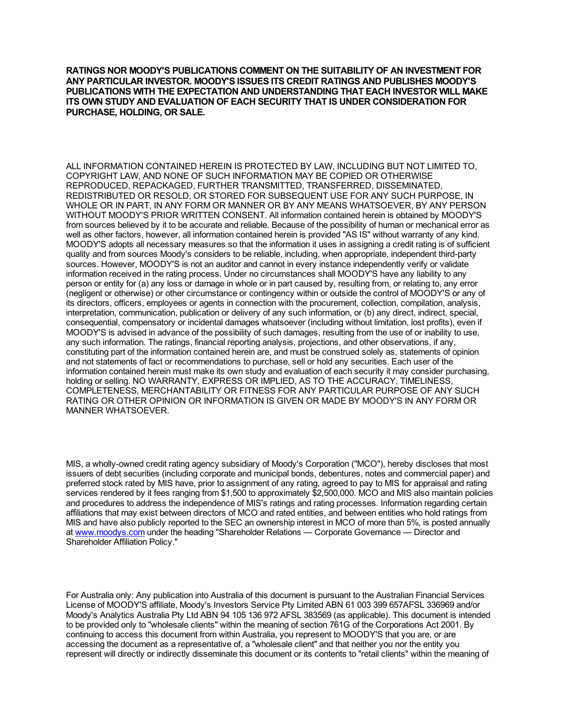**RATINGS NOR MOODY'S PUBLICATIONS COMMENT ON THE SUITABILITY OF AN INVESTMENT FOR ANY PARTICULAR INVESTOR. MOODY'S ISSUES ITS CREDIT RATINGS AND PUBLISHES MOODY'S PUBLICATIONS WITH THE EXPECTATION AND UNDERSTANDING THAT EACH INVESTOR WILL MAKE ITS OWN STUDY AND EVALUATION OF EACH SECURITY THAT IS UNDER CONSIDERATION FOR PURCHASE, HOLDING, OR SALE.**

ALL INFORMATION CONTAINED HEREIN IS PROTECTED BY LAW, INCLUDING BUT NOT LIMITED TO, COPYRIGHT LAW, AND NONE OF SUCH INFORMATION MAY BE COPIED OR OTHERWISE REPRODUCED, REPACKAGED, FURTHER TRANSMITTED, TRANSFERRED, DISSEMINATED, REDISTRIBUTED OR RESOLD, OR STORED FOR SUBSEQUENT USE FOR ANY SUCH PURPOSE, IN WHOLE OR IN PART, IN ANY FORM OR MANNER OR BY ANY MEANS WHATSOEVER, BY ANY PERSON WITHOUT MOODY'S PRIOR WRITTEN CONSENT. All information contained herein is obtained by MOODY'S from sources believed by it to be accurate and reliable. Because of the possibility of human or mechanical error as well as other factors, however, all information contained herein is provided "AS IS" without warranty of any kind. MOODY'S adopts all necessary measures so that the information it uses in assigning a credit rating is of sufficient quality and from sources Moody's considers to be reliable, including, when appropriate, independent third-party sources. However, MOODY'S is not an auditor and cannot in every instance independently verify or validate information received in the rating process. Under no circumstances shall MOODY'S have any liability to any person or entity for (a) any loss or damage in whole or in part caused by, resulting from, or relating to, any error (negligent or otherwise) or other circumstance or contingency within or outside the control of MOODY'S or any of its directors, officers, employees or agents in connection with the procurement, collection, compilation, analysis, interpretation, communication, publication or delivery of any such information, or (b) any direct, indirect, special, consequential, compensatory or incidental damages whatsoever (including without limitation, lost profits), even if MOODY'S is advised in advance of the possibility of such damages, resulting from the use of or inability to use, any such information. The ratings, financial reporting analysis, projections, and other observations, if any, constituting part of the information contained herein are, and must be construed solely as, statements of opinion and not statements of fact or recommendations to purchase, sell or hold any securities. Each user of the information contained herein must make its own study and evaluation of each security it may consider purchasing, holding or selling. NO WARRANTY, EXPRESS OR IMPLIED, AS TO THE ACCURACY, TIMELINESS, COMPLETENESS, MERCHANTABILITY OR FITNESS FOR ANY PARTICULAR PURPOSE OF ANY SUCH RATING OR OTHER OPINION OR INFORMATION IS GIVEN OR MADE BY MOODY'S IN ANY FORM OR MANNER WHATSOEVER.

MIS, a wholly-owned credit rating agency subsidiary of Moody's Corporation ("MCO"), hereby discloses that most issuers of debt securities (including corporate and municipal bonds, debentures, notes and commercial paper) and preferred stock rated by MIS have, prior to assignment of any rating, agreed to pay to MIS for appraisal and rating services rendered by it fees ranging from \$1,500 to approximately \$2,500,000. MCO and MIS also maintain policies and procedures to address the independence of MIS's ratings and rating processes. Information regarding certain affiliations that may exist between directors of MCO and rated entities, and between entities who hold ratings from MIS and have also publicly reported to the SEC an ownership interest in MCO of more than 5%, is posted annually at [www.moodys.com](https://www.moodys.com/) under the heading "Shareholder Relations — Corporate Governance — Director and Shareholder Affiliation Policy."

For Australia only: Any publication into Australia of this document is pursuant to the Australian Financial Services License of MOODY'S affiliate, Moody's Investors Service Pty Limited ABN 61 003 399 657AFSL 336969 and/or Moody's Analytics Australia Pty Ltd ABN 94 105 136 972 AFSL 383569 (as applicable). This document is intended to be provided only to "wholesale clients" within the meaning of section 761G of the Corporations Act 2001. By continuing to access this document from within Australia, you represent to MOODY'S that you are, or are accessing the document as a representative of, a "wholesale client" and that neither you nor the entity you represent will directly or indirectly disseminate this document or its contents to "retail clients" within the meaning of